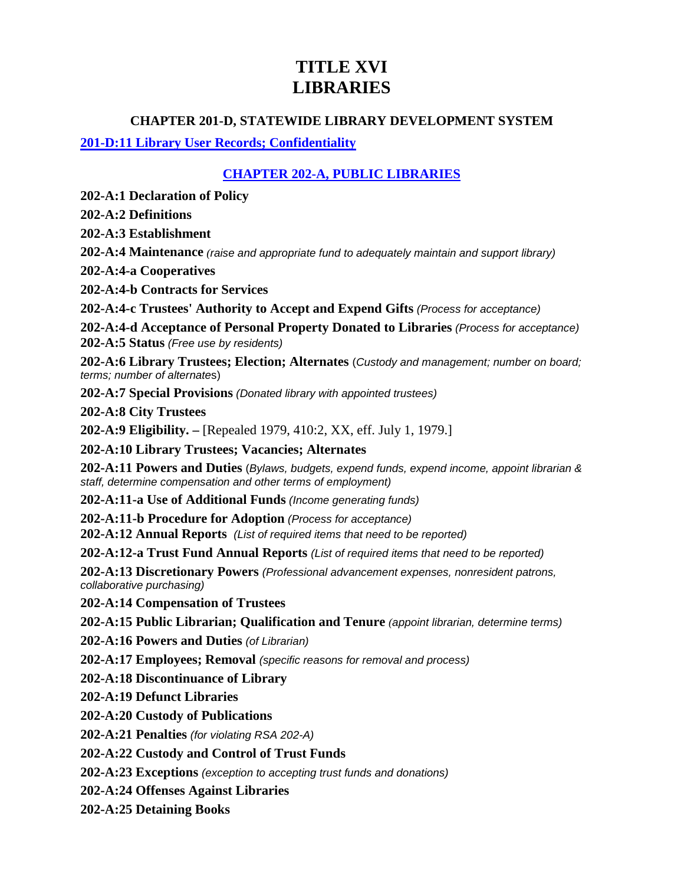# **TITLE XVI LIBRARIES**

#### **CHAPTER 201-D, STATEWIDE LIBRARY DEVELOPMENT SYSTEM**

#### **[201-D:11 Library User Records; Confidentiality](http://www.gencourt.state.nh.us/rsa/html/XVI/201-D/201-D-11.htm)**

### **[CHAPTER 202-A, PUBLIC LIBRARIES](http://www.gencourt.state.nh.us/rsa/html/xvi/202-a/202-a-mrg.htm)**

**202-A:1 Declaration of Policy**

**202-A:2 Definitions**

**202-A:3 Establishment**

**202-A:4 Maintenance** *(raise and appropriate fund to adequately maintain and support library)*

**202-A:4-a Cooperatives**

**202-A:4-b Contracts for Services**

**202-A:4-c Trustees' Authority to Accept and Expend Gifts** *(Process for acceptance)*

**202-A:4-d Acceptance of Personal Property Donated to Libraries** *(Process for acceptance)* **202-A:5 Status** *(Free use by residents)*

**202-A:6 Library Trustees; Election; Alternates** (*Custody and management; number on board; terms; number of alternate*s)

**202-A:7 Special Provisions** *(Donated library with appointed trustees)*

**202-A:8 City Trustees**

**202-A:9 Eligibility. –** [Repealed 1979, 410:2, XX, eff. July 1, 1979.]

**202-A:10 Library Trustees; Vacancies; Alternates**

**202-A:11 Powers and Duties** (*Bylaws, budgets, expend funds, expend income, appoint librarian & staff, determine compensation and other terms of employment)*

**202-A:11-a Use of Additional Funds** *(Income generating funds)*

**202-A:11-b Procedure for Adoption** *(Process for acceptance)*

**202-A:12 Annual Reports** *(List of required items that need to be reported)*

**202-A:12-a Trust Fund Annual Reports** *(List of required items that need to be reported)*

**202-A:13 Discretionary Powers** *(Professional advancement expenses, nonresident patrons, collaborative purchasing)*

**202-A:14 Compensation of Trustees**

**202-A:15 Public Librarian; Qualification and Tenure** *(appoint librarian, determine terms)*

**202-A:16 Powers and Duties** *(of Librarian)*

**202-A:17 Employees; Removal** *(specific reasons for removal and process)*

**202-A:18 Discontinuance of Library**

**202-A:19 Defunct Libraries**

**202-A:20 Custody of Publications**

**202-A:21 Penalties** *(for violating RSA 202-A)*

**202-A:22 Custody and Control of Trust Funds**

**202-A:23 Exceptions** *(exception to accepting trust funds and donations)*

**202-A:24 Offenses Against Libraries**

**202-A:25 Detaining Books**